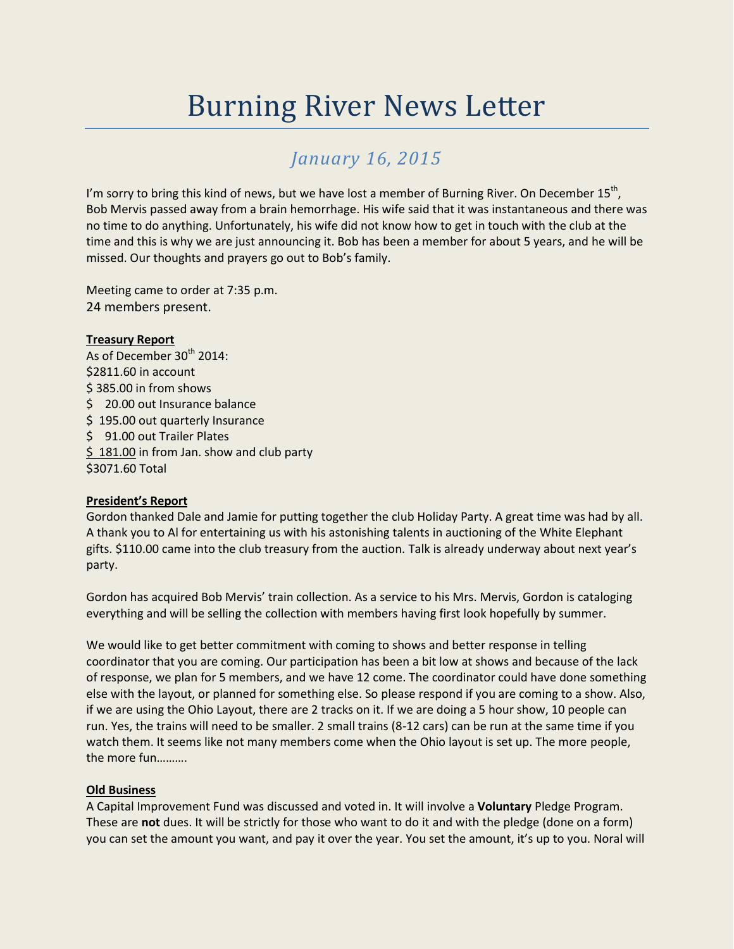# Burning River News Letter

## *January 16, 2015*

I'm sorry to bring this kind of news, but we have lost a member of Burning River. On December  $15^{th}$ , Bob Mervis passed away from a brain hemorrhage. His wife said that it was instantaneous and there was no time to do anything. Unfortunately, his wife did not know how to get in touch with the club at the time and this is why we are just announcing it. Bob has been a member for about 5 years, and he will be missed. Our thoughts and prayers go out to Bob's family.

Meeting came to order at 7:35 p.m. 24 members present.

#### **Treasury Report**

As of December 30<sup>th</sup> 2014: \$2811.60 in account \$ 385.00 in from shows \$ 20.00 out Insurance balance \$195.00 out quarterly Insurance \$91.00 out Trailer Plates  $$ 181.00$  in from Jan. show and club party \$3071.60 Total

### **President's Report**

Gordon thanked Dale and Jamie for putting together the club Holiday Party. A great time was had by all. A thank you to Al for entertaining us with his astonishing talents in auctioning of the White Elephant gifts. \$110.00 came into the club treasury from the auction. Talk is already underway about next year's party.

Gordon has acquired Bob Mervis' train collection. As a service to his Mrs. Mervis, Gordon is cataloging everything and will be selling the collection with members having first look hopefully by summer.

We would like to get better commitment with coming to shows and better response in telling coordinator that you are coming. Our participation has been a bit low at shows and because of the lack of response, we plan for 5 members, and we have 12 come. The coordinator could have done something else with the layout, or planned for something else. So please respond if you are coming to a show. Also, if we are using the Ohio Layout, there are 2 tracks on it. If we are doing a 5 hour show, 10 people can run. Yes, the trains will need to be smaller. 2 small trains (8-12 cars) can be run at the same time if you watch them. It seems like not many members come when the Ohio layout is set up. The more people, the more fun……….

### **Old Business**

A Capital Improvement Fund was discussed and voted in. It will involve a **Voluntary** Pledge Program. These are **not** dues. It will be strictly for those who want to do it and with the pledge (done on a form) you can set the amount you want, and pay it over the year. You set the amount, it's up to you. Noral will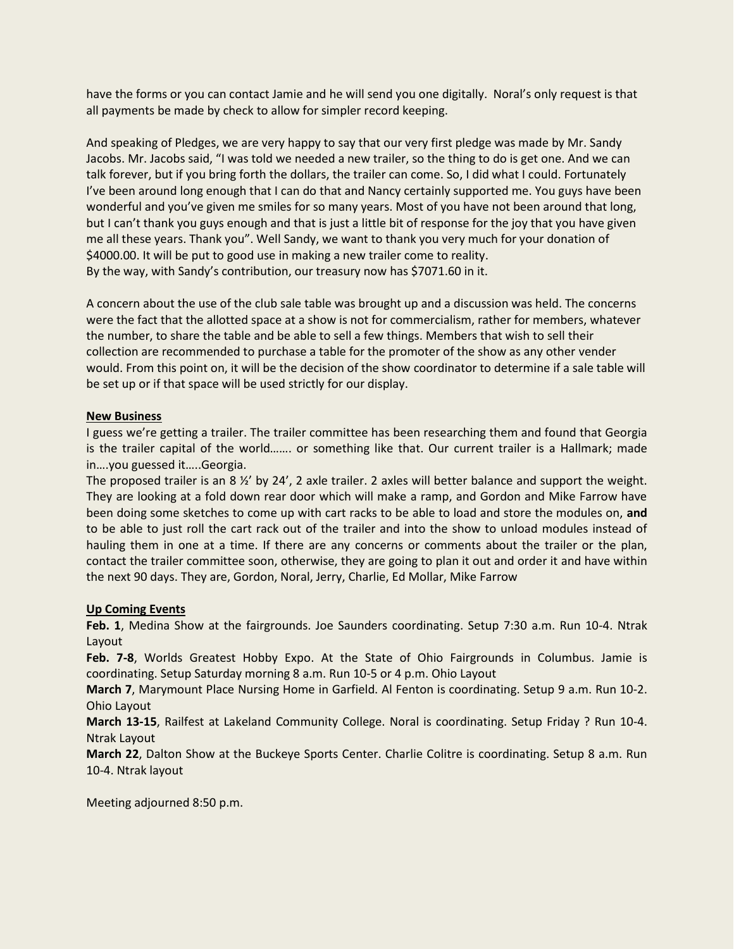have the forms or you can contact Jamie and he will send you one digitally. Noral's only request is that all payments be made by check to allow for simpler record keeping.

And speaking of Pledges, we are very happy to say that our very first pledge was made by Mr. Sandy Jacobs. Mr. Jacobs said, "I was told we needed a new trailer, so the thing to do is get one. And we can talk forever, but if you bring forth the dollars, the trailer can come. So, I did what I could. Fortunately I've been around long enough that I can do that and Nancy certainly supported me. You guys have been wonderful and you've given me smiles for so many years. Most of you have not been around that long, but I can't thank you guys enough and that is just a little bit of response for the joy that you have given me all these years. Thank you". Well Sandy, we want to thank you very much for your donation of \$4000.00. It will be put to good use in making a new trailer come to reality. By the way, with Sandy's contribution, our treasury now has \$7071.60 in it.

A concern about the use of the club sale table was brought up and a discussion was held. The concerns were the fact that the allotted space at a show is not for commercialism, rather for members, whatever the number, to share the table and be able to sell a few things. Members that wish to sell their collection are recommended to purchase a table for the promoter of the show as any other vender would. From this point on, it will be the decision of the show coordinator to determine if a sale table will be set up or if that space will be used strictly for our display.

#### **New Business**

I guess we're getting a trailer. The trailer committee has been researching them and found that Georgia is the trailer capital of the world……. or something like that. Our current trailer is a Hallmark; made in….you guessed it…..Georgia.

The proposed trailer is an 8  $\frac{1}{2}$  by 24', 2 axle trailer. 2 axles will better balance and support the weight. They are looking at a fold down rear door which will make a ramp, and Gordon and Mike Farrow have been doing some sketches to come up with cart racks to be able to load and store the modules on, **and** to be able to just roll the cart rack out of the trailer and into the show to unload modules instead of hauling them in one at a time. If there are any concerns or comments about the trailer or the plan, contact the trailer committee soon, otherwise, they are going to plan it out and order it and have within the next 90 days. They are, Gordon, Noral, Jerry, Charlie, Ed Mollar, Mike Farrow

### **Up Coming Events**

**Feb. 1**, Medina Show at the fairgrounds. Joe Saunders coordinating. Setup 7:30 a.m. Run 10-4. Ntrak Layout

**Feb. 7-8**, Worlds Greatest Hobby Expo. At the State of Ohio Fairgrounds in Columbus. Jamie is coordinating. Setup Saturday morning 8 a.m. Run 10-5 or 4 p.m. Ohio Layout

**March 7**, Marymount Place Nursing Home in Garfield. Al Fenton is coordinating. Setup 9 a.m. Run 10-2. Ohio Layout

**March 13-15**, Railfest at Lakeland Community College. Noral is coordinating. Setup Friday ? Run 10-4. Ntrak Layout

**March 22**, Dalton Show at the Buckeye Sports Center. Charlie Colitre is coordinating. Setup 8 a.m. Run 10-4. Ntrak layout

Meeting adjourned 8:50 p.m.